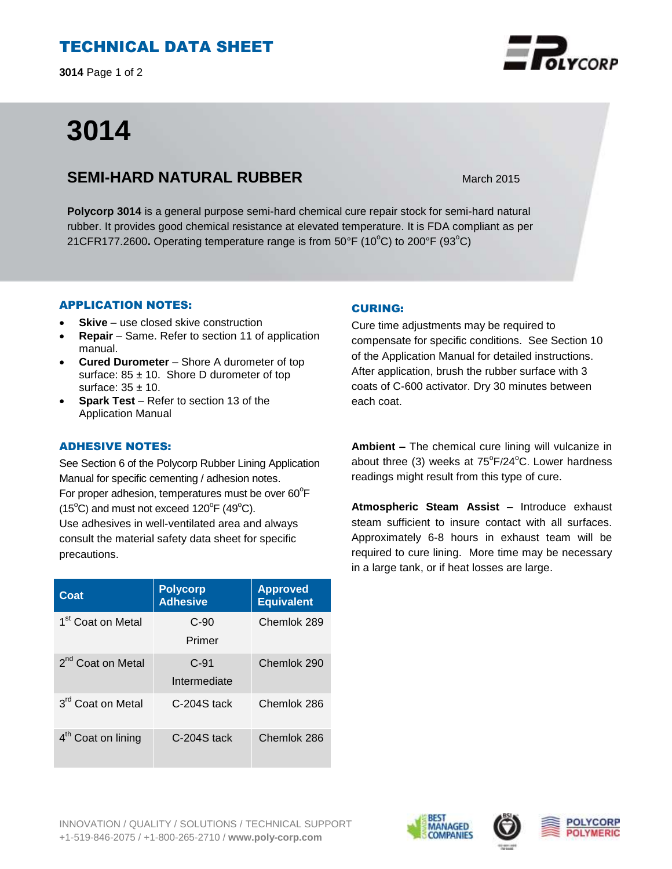## TECHNICAL DATA SHEET

**3014** Page 1 of 2

# **3014**

### **SEMI-HARD NATURAL RUBBER** March 2015

**Polycorp 3014** is a general purpose semi-hard chemical cure repair stock for semi-hard natural rubber. It provides good chemical resistance at elevated temperature. It is FDA compliant as per 21CFR177.2600. Operating temperature range is from 50°F (10°C) to 200°F (93°C)

#### APPLICATION NOTES:

- **Skive** use closed skive construction
- **Repair**  Same. Refer to section 11 of application manual.
- **Cured Durometer**  Shore A durometer of top surface:  $85 \pm 10$ . Shore D durometer of top surface:  $35 \pm 10$ .
- **Spark Test** Refer to section 13 of the Application Manual

#### ADHESIVE NOTES:

See Section 6 of the Polycorp Rubber Lining Application Manual for specific cementing / adhesion notes. For proper adhesion, temperatures must be over  $60^{\circ}$ F  $(15^{\circ}C)$  and must not exceed  $120^{\circ}F(49^{\circ}C)$ . Use adhesives in well-ventilated area and always consult the material safety data sheet for specific precautions.

| Coat                          | <b>Polycorp</b><br><b>Adhesive</b> | <b>Approved</b><br><b>Equivalent</b> |
|-------------------------------|------------------------------------|--------------------------------------|
| 1 <sup>st</sup> Coat on Metal | $C-90$<br>Primer                   | Chemlok 289                          |
| 2 <sup>nd</sup> Coat on Metal | $C-91$<br>Intermediate             | Chemlok 290                          |
| 3 <sup>rd</sup> Coat on Metal | $C-204S$ tack                      | Chemlok 286                          |
| $4th$ Coat on lining          | $C-204S$ tack                      | Chemlok 286                          |

#### CURING:

Cure time adjustments may be required to compensate for specific conditions. See Section 10 of the Application Manual for detailed instructions. After application, brush the rubber surface with 3 coats of C-600 activator. Dry 30 minutes between each coat.

**Ambient –** The chemical cure lining will vulcanize in about three (3) weeks at  $75^{\circ}F/24^{\circ}C$ . Lower hardness readings might result from this type of cure.

**Atmospheric Steam Assist –** Introduce exhaust steam sufficient to insure contact with all surfaces. Approximately 6-8 hours in exhaust team will be required to cure lining. More time may be necessary in a large tank, or if heat losses are large.